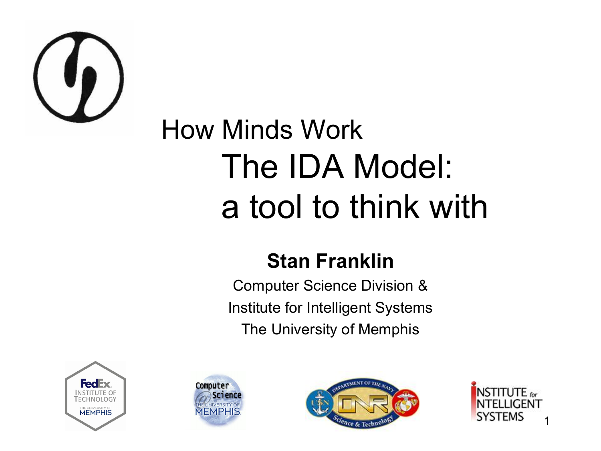

#### How Minds Work The IDA Model: a tool to think with

#### **Stan Franklin**

Computer Science Division & Institute for Intelligent Systems The University of Memphis







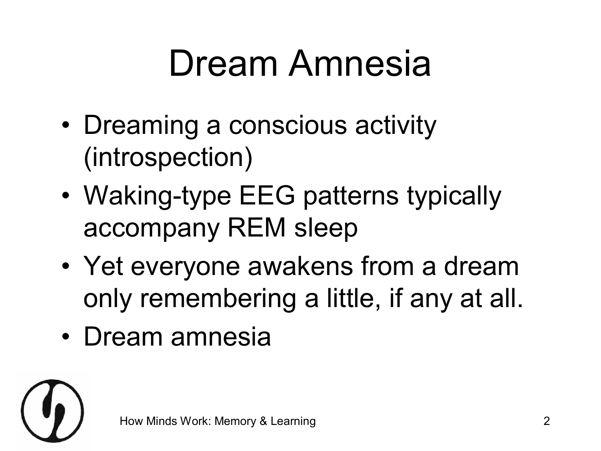#### Dream Amnesia

- Dreaming a conscious activity (introspection)
- Waking-type EEG patterns typically accompany REM sleep
- Yet everyone awakens from a dream only remembering a little, if any at all.
- Dream amnesia

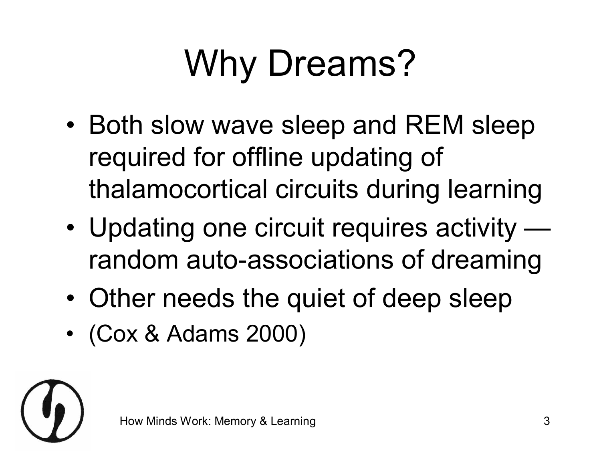## Why Dreams?

- Both slow wave sleep and REM sleep required for offline updating of thalamocortical circuits during learning
- Updating one circuit requires activity random auto-associations of dreaming
- Other needs the quiet of deep sleep
- (Cox & Adams 2000)

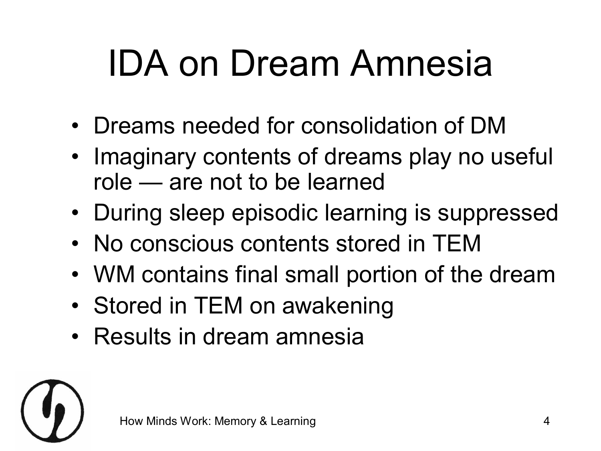### IDA on Dream Amnesia

- Dreams needed for consolidation of DM
- Imaginary contents of dreams play no useful role — are not to be learned
- During sleep episodic learning is suppressed
- No conscious contents stored in TEM
- WM contains final small portion of the dream
- Stored in TEM on awakening
- Results in dream amnesia

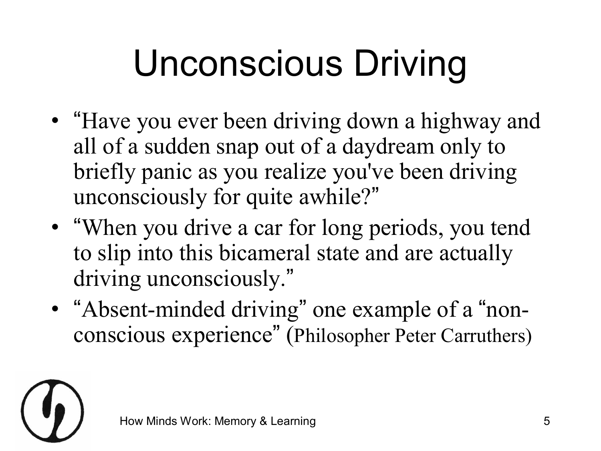## Unconscious Driving

- "Have you ever been driving down a highway and all of a sudden snap out of a daydream only to briefly panic as you realize you've been driving unconsciously for quite awhile?"
- "When you drive a car for long periods, you tend to slip into this bicameral state and are actually driving unconsciously."
- "Absent-minded driving" one example of a "nonconscious experience " (Philosopher Peter Carruthers)

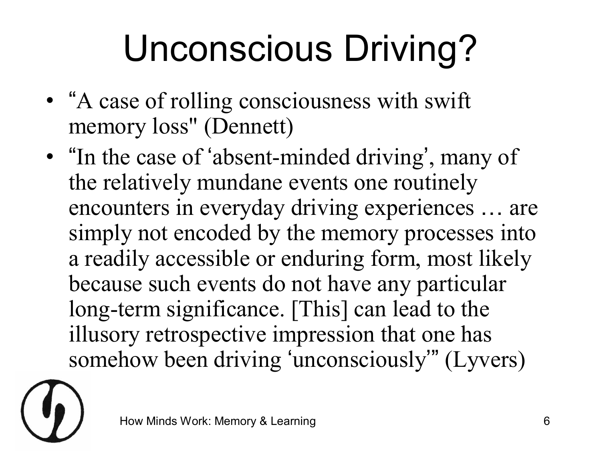## Unconscious Driving?

- "A case of rolling consciousness with swift memory loss" (Dennett)
- "In the case of 'absent-minded driving', many of the relatively mundane events one routinely encounters in everyday driving experiences … are simply not encoded by the memory processes into a readily accessible or enduring form, most likely because such events do not have any particular long-term significance. [This] can lead to the illusory retrospective impression that one has somehow been driving ' unconsciously '" (Lyvers)

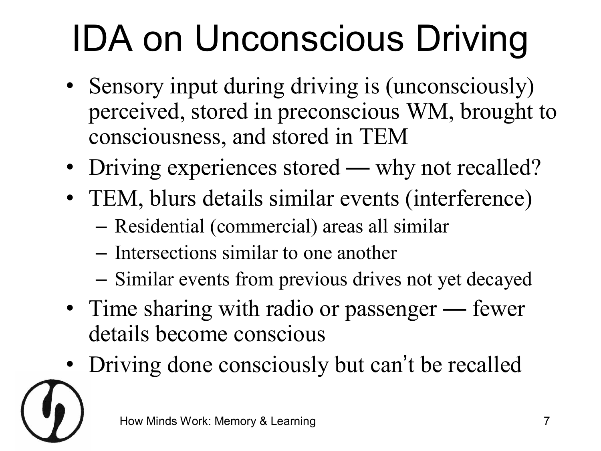# IDA on Unconscious Driving

- Sensory input during driving is (unconsciously) perceived, stored in preconscious WM, brought to consciousness, and stored in TEM
- Driving experiences stored why not recalled?
- TEM, blurs details similar events (interference)
	- Residential (commercial) areas all similar
	- Intersections similar to one another
	- Similar events from previous drives not yet decayed
- Time sharing with radio or passenger fewer details become conscious
- Driving done consciously but can 't be recalled

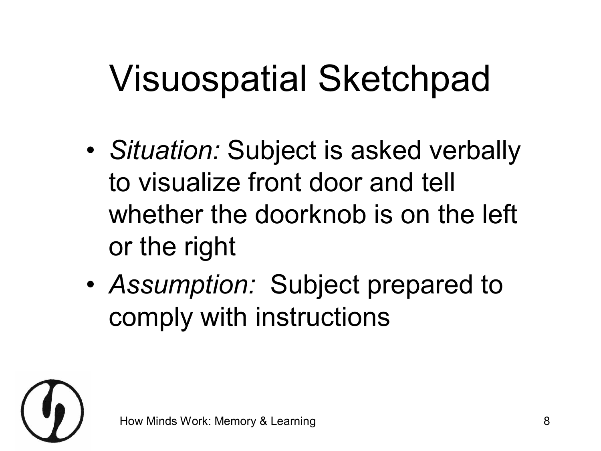#### Visuospatial Sketchpad

- *Situation:* Subject is asked verbally to visualize front door and tell whether the doorknob is on the left or the right
- *Assumption:* Subject prepared to comply with instructions

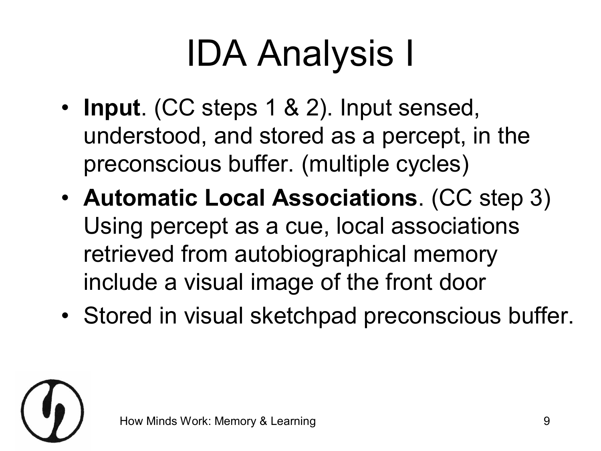# IDA Analysis I

- **Input**. (CC steps 1 & 2). Input sensed, understood, and stored as a percept, in the preconscious buffer. (multiple cycles)
- **Automatic Local Associations**. (CC step 3) Using percept as a cue, local associations retrieved from autobiographical memory include a visual image of the front door
- Stored in visual sketchpad preconscious buffer.

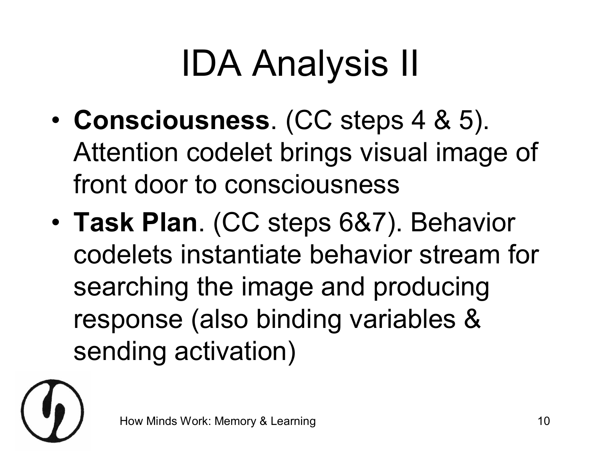# IDA Analysis II

- **Consciousness**. (CC steps 4 & 5). Attention codelet brings visual image of front door to consciousness
- **Task Plan**. (CC steps 6&7). Behavior codelets instantiate behavior stream for searching the image and producing response (also binding variables & sending activation)

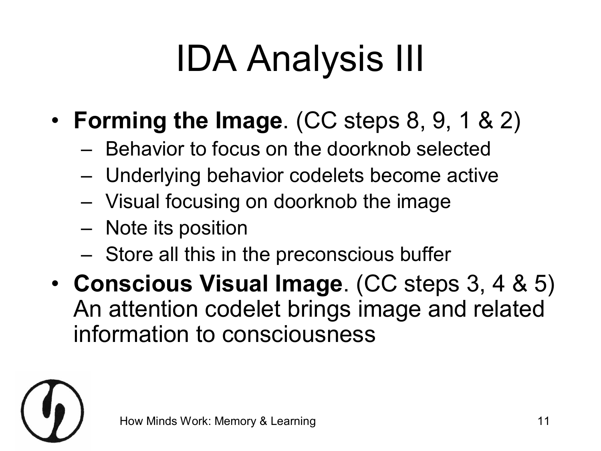# IDA Analysis III

- **Forming the Image**. (CC steps 8, 9, 1 & 2)
	- Behavior to focus on the doorknob selected
	- Underlying behavior codelets become active
	- Visual focusing on doorknob the image
	- Note its position
	- Store all this in the preconscious buffer
- **Conscious Visual Image**. (CC steps 3, 4 & 5) An attention codelet brings image and related information to consciousness

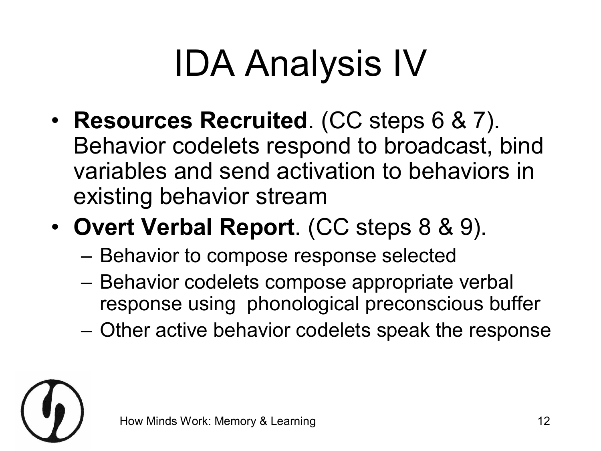# IDA Analysis IV

- **Resources Recruited**. (CC steps 6 & 7). Behavior codelets respond to broadcast, bind variables and send activation to behaviors in existing behavior stream
- **Overt Verbal Report**. (CC steps 8 & 9).
	- Behavior to compose response selected
	- Behavior codelets compose appropriate verbal response using phonological preconscious buffer
	- Other active behavior codelets speak the response

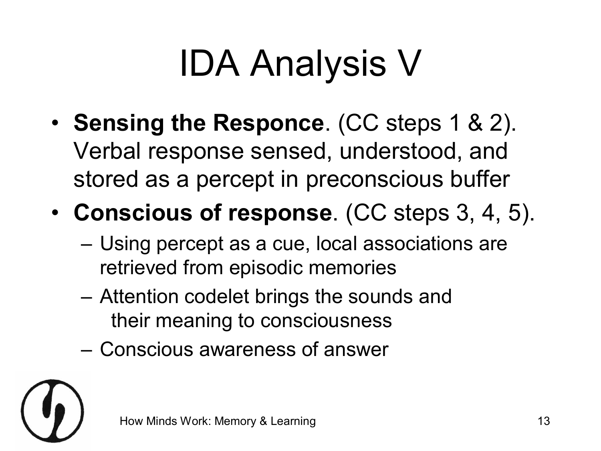## IDA Analysis V

- **Sensing the Responce**. (CC steps 1 & 2). Verbal response sensed, understood, and stored as a percept in preconscious buffer
- **Conscious of response**. (CC steps 3, 4, 5).
	- Using percept as a cue, local associations are retrieved from episodic memories
	- Attention codelet brings the sounds and their meaning to consciousness
	- Conscious awareness of answer

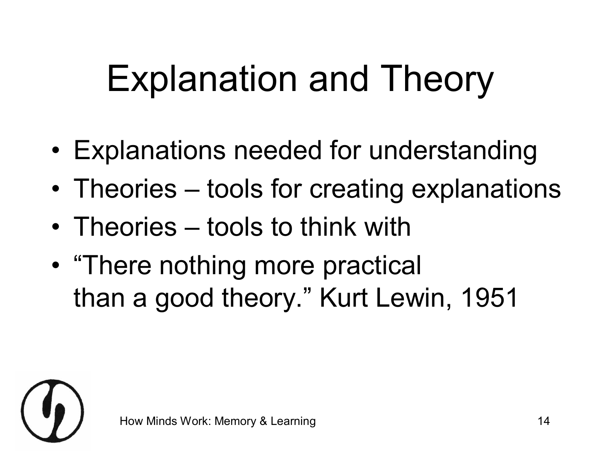## Explanation and Theory

- Explanations needed for understanding
- Theories tools for creating explanations
- Theories tools to think with
- "There nothing more practical than a good theory." Kurt Lewin, 1951